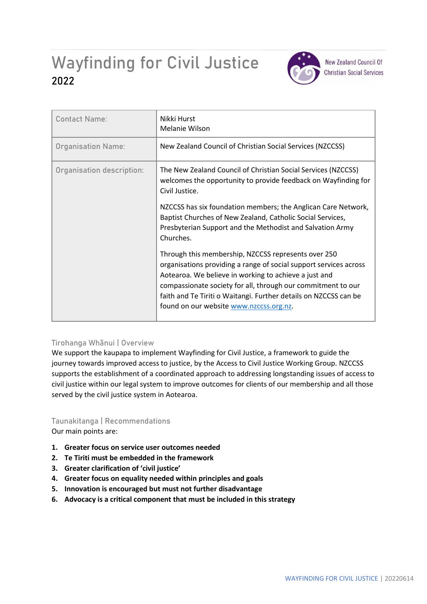# Wayfinding for Civil Justice **2022**



**New Zealand Council Of Christian Social Services** 

| <b>Contact Name:</b>      | Nikki Hurst<br>Melanie Wilson                                                                                                                                                                                                                                                                                                                                    |
|---------------------------|------------------------------------------------------------------------------------------------------------------------------------------------------------------------------------------------------------------------------------------------------------------------------------------------------------------------------------------------------------------|
| <b>Organisation Name:</b> | New Zealand Council of Christian Social Services (NZCCSS)                                                                                                                                                                                                                                                                                                        |
| Organisation description: | The New Zealand Council of Christian Social Services (NZCCSS)<br>welcomes the opportunity to provide feedback on Wayfinding for<br>Civil Justice.                                                                                                                                                                                                                |
|                           | NZCCSS has six foundation members; the Anglican Care Network,<br>Baptist Churches of New Zealand, Catholic Social Services,<br>Presbyterian Support and the Methodist and Salvation Army<br>Churches.                                                                                                                                                            |
|                           | Through this membership, NZCCSS represents over 250<br>organisations providing a range of social support services across<br>Aotearoa. We believe in working to achieve a just and<br>compassionate society for all, through our commitment to our<br>faith and Te Tiriti o Waitangi. Further details on NZCCSS can be<br>found on our website www.nzccss.org.nz. |

## **Tirohanga Whānui | Overview**

We support the kaupapa to implement Wayfinding for Civil Justice, a framework to guide the journey towards improved access to justice, by the Access to Civil Justice Working Group. NZCCSS supports the establishment of a coordinated approach to addressing longstanding issues of access to civil justice within our legal system to improve outcomes for clients of our membership and all those served by the civil justice system in Aotearoa.

# **Taunakitanga | Recommendations**

Our main points are:

- **1. Greater focus on service user outcomes needed**
- **2. Te Tiriti must be embedded in the framework**
- **3. Greater clarification of 'civil justice'**
- **4. Greater focus on equality needed within principles and goals**
- **5. Innovation is encouraged but must not further disadvantage**
- **6. Advocacy is a critical component that must be included in this strategy**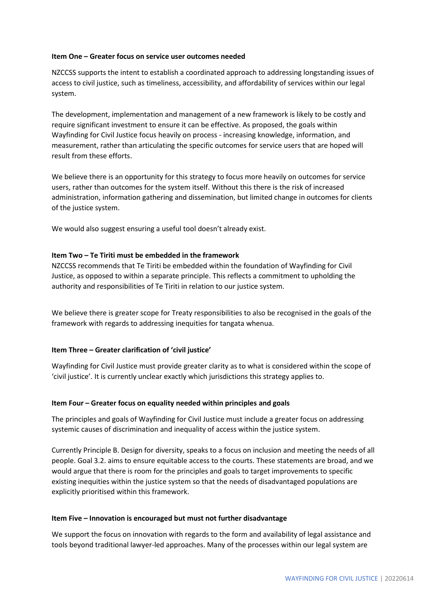#### **Item One – Greater focus on service user outcomes needed**

NZCCSS supports the intent to establish a coordinated approach to addressing longstanding issues of access to civil justice, such as timeliness, accessibility, and affordability of services within our legal system.

The development, implementation and management of a new framework is likely to be costly and require significant investment to ensure it can be effective. As proposed, the goals within Wayfinding for Civil Justice focus heavily on process - increasing knowledge, information, and measurement, rather than articulating the specific outcomes for service users that are hoped will result from these efforts.

We believe there is an opportunity for this strategy to focus more heavily on outcomes for service users, rather than outcomes for the system itself. Without this there is the risk of increased administration, information gathering and dissemination, but limited change in outcomes for clients of the justice system.

We would also suggest ensuring a useful tool doesn't already exist.

#### **Item Two – Te Tiriti must be embedded in the framework**

NZCCSS recommends that Te Tiriti be embedded within the foundation of Wayfinding for Civil Justice, as opposed to within a separate principle. This reflects a commitment to upholding the authority and responsibilities of Te Tiriti in relation to our justice system.

We believe there is greater scope for Treaty responsibilities to also be recognised in the goals of the framework with regards to addressing inequities for tangata whenua.

#### **Item Three – Greater clarification of 'civil justice'**

Wayfinding for Civil Justice must provide greater clarity as to what is considered within the scope of 'civil justice'. It is currently unclear exactly which jurisdictions this strategy applies to.

#### **Item Four – Greater focus on equality needed within principles and goals**

The principles and goals of Wayfinding for Civil Justice must include a greater focus on addressing systemic causes of discrimination and inequality of access within the justice system.

Currently Principle B. Design for diversity, speaks to a focus on inclusion and meeting the needs of all people. Goal 3.2. aims to ensure equitable access to the courts. These statements are broad, and we would argue that there is room for the principles and goals to target improvements to specific existing inequities within the justice system so that the needs of disadvantaged populations are explicitly prioritised within this framework.

#### **Item Five – Innovation is encouraged but must not further disadvantage**

We support the focus on innovation with regards to the form and availability of legal assistance and tools beyond traditional lawyer-led approaches. Many of the processes within our legal system are